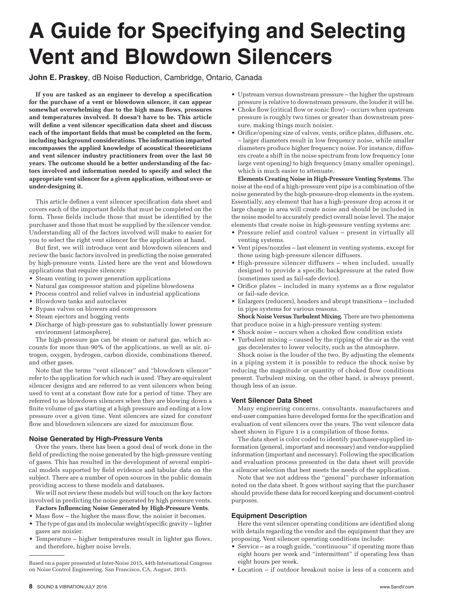# **A Guide for Specifying and Selecting Vent and Blowdown Silencers**

**John E. Praskey**, dB Noise Reduction, Cambridge, Ontario, Canada

**If you are tasked as an engineer to develop a specification for the purchase of a vent or blowdown silencer, it can appear somewhat overwhelming due to the high mass flows, pressures and temperatures involved. It doesn't have to be. This article will define a vent silencer specification data sheet and discuss each of the important fields that must be completed on the form, including background considerations. The information imparted encompasses the applied knowledge of acoustical theoreticians and vent silencer industry practitioners from over the last 50 years. The outcome should be a better understanding of the factors involved and information needed to specify and select the appropriate vent silencer for a given application, without over- or under-designing it.** 

This article defines a vent silencer specification data sheet and covers each of the important fields that must be completed on the form. These fields include those that must be identified by the purchaser and those that must be supplied by the silencer vendor. Understanding all of the factors involved will make to easier for you to select the right vent silencer for the application at hand.

But first, we will introduce vent and blowdown silencers and review the basic factors involved in predicting the noise generated by high-pressure vents. Listed here are the vent and blowdown applications that require silencers:

- • Steam venting in power generation applications
- Natural gas compressor station and pipeline blowdowns
- Process control and relief valves in industrial applications
- • Blowdown tanks and autoclaves
- • Bypass valves on blowers and compressors
- • Steam ejectors and hogging vents
- • Discharge of high-pressure gas to substantially lower pressure environment (atmosphere).

The high-pressure gas can be steam or natural gas, which accounts for more than 90% of the applications, as well as air, nitrogen, oxygen, hydrogen, carbon dioxide, combinations thereof, and other gases.

Note that the terms "vent silencer" and "blowdown silencer" refer to the application for which each is used. They are equivalent silencer designs and are referred to as vent silencers when being used to vent at a constant flow rate for a period of time. They are referred to as blowdown silencers when they are blowing down a finite volume of gas starting at a high pressure and ending at a low pressure over a given time. Vent silencers are sized for *constant* flow and blowdown silencers are sized for *maximum* flow.

## **Noise Generated by High-Pressure Vents**

Over the years, there has been a good deal of work done in the field of predicting the noise generated by the high-pressure venting of gases. This has resulted in the development of several empirical models supported by field evidence and tabular data on the subject. There are a number of open sources in the public domain providing access to these models and databases.

We will not review these models but will touch on the key factors involved in predicting the noise generated by high pressure vents.

- **Factors Influencing Noise Generated by High-Pressure Vents**.
- Mass flow the higher the mass flow, the noisier it becomes.
- The type of gas and its molecular weight/specific gravity lighter gases are noisier.
- Temperature higher temperatures result in lighter gas flows, and therefore, higher noise levels.
- Upstream versus downstream pressure the higher the upstream pressure is relative to downstream pressure, the louder it will be.
- Choke flow (critical flow or sonic flow) occurs when upstream pressure is roughly two times or greater than downstream pressure, making things much noisier.
- • Orifice/opening size of valves, vents, orifice plates, diffusers, etc. – larger diameters result in low frequency noise, while smaller diameters produce higher frequency noise. For instance, diffusers create a shift in the noise spectrum from low frequency (one large vent opening) to high frequency (many smaller openings), which is much easier to attenuate.

**Elements Creating Noise in High-Pressure Venting Systems**. The noise at the end of a high-pressure vent pipe is a combination of the noise generated by the high-pressure-drop elements in the system. Essentially, any element that has a high-pressure drop across it or large change in area will create noise and should be included in the noise model to accurately predict overall noise level. The major elements that create noise in high-pressure venting systems are:

- • Pressure relief and control values present in virtually all venting systems.
- • Vent pipes/nozzles last element in venting systems, except for those using high-pressure silencer diffusers.
- High-pressure silencer diffusers when included, usually designed to provide a specific backpressure at the rated flow (sometimes used as fail-safe device).
- Orifice plates included in many systems as a flow regulator or fail-safe device.
- • Enlargers (reducers), headers and abrupt transitions included in pipe systems for various reasons.

**Shock Noise Versus Turbulent Mixing**. There are two phenomena that produce noise in a high-pressure venting system:

- Shock noise occurs when a choked flow condition exists
- Turbulent mixing caused by the ripping of the air as the vent gas decelerates to lower velocity, such as the atmosphere.

Shock noise is the louder of the two. By adjusting the elements in a piping system it is possible to reduce the shock noise by reducing the magnitude or quantity of choked flow conditions present. Turbulent mixing, on the other hand, is always present, though less of an issue.

## **Vent Silencer Data Sheet**

Many engineering concerns, consultants, manufacturers and end-user companies have developed forms for the specification and evaluation of vent silencers over the years. The vent silencer data sheet shown in Figure 1 is a compilation of those forms.

The data sheet is color coded to identify purchaser-supplied information (general, important and necessary) and vendor-supplied information (important and necessary). Following the specification and evaluation process presented in the data sheet will provide a silencer selection that best meets the needs of the application.

Note that we not address the "general" purchaser information noted on the data sheet. It goes without saying that the purchaser should provide these data for record keeping and document-control purposes.

## **Equipment Description**

Here the vent silencer operating conditions are identified along with details regarding the vendor and the equipment that they are proposing. Vent silencer operating conditions include:

- Service as a rough guide, "continuous" if operating more than eight hours per week and "intermittent" if operating less than eight hours per week.
- • Location if outdoor breakout noise is less of a concern and

Based on a paper presented at Inter-Noise 2015, 44th International Congress on Noise Control Engineering, San Francisco, CA, August, 2015.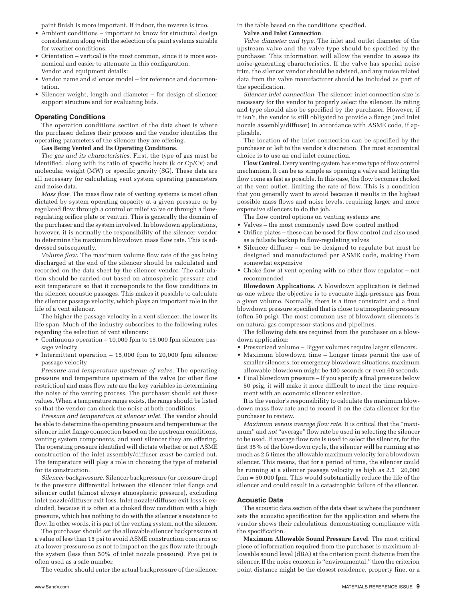paint finish is more important. If indoor, the reverse is true.

- • Ambient conditions important to know for structural design consideration along with the selection of a paint systems suitable for weather conditions.
- • Orientation vertical is the most common, since it is more economical and easier to attenuate in this configuration. Vendor and equipment details:
- Vendor name and silencer model for reference and documentation.
- Silencer weight, length and diameter for design of silencer support structure and for evaluating bids.

#### **Operating Conditions**

The operation conditions section of the data sheet is where the purchaser defines their process and the vendor identifies the operating parameters of the silencer they are offering.

#### **Gas Being Vented and Its Operating Conditions**.

*The gas and its characteristics*. First, the type of gas must be identified, along with its ratio of specific heats (k or Cp/Cv) and molecular weight (MW) or specific gravity (SG). These data are all necessary for calculating vent system operating parameters and noise data.

*Mass flow*. The mass flow rate of venting systems is most often dictated by system operating capacity at a given pressure or by regulated flow through a control or relief valve or through a flowregulating orifice plate or venturi. This is generally the domain of the purchaser and the system involved. In blowdown applications, however, it is normally the responsibility of the silencer vendor to determine the maximum blowdown mass flow rate. This is addressed subsequently.

*Volume flow*. The maximum volume flow rate of the gas being discharged at the end of the silencer should be calculated and recorded on the data sheet by the silencer vendor. The calculation should be carried out based on atmospheric pressure and exit temperature so that it corresponds to the flow conditions in the silencer acoustic passages. This makes it possible to calculate the silencer passage velocity, which plays an important role in the life of a vent silencer.

The higher the passage velocity in a vent silencer, the lower its life span. Much of the industry subscribes to the following rules regarding the selection of vent silencers:

- • Continuous operation 10,000 fpm to 15,000 fpm silencer passage velocity
- Intermittent operation  $-15,000$  fpm to 20,000 fpm silencer passage velocity

*Pressure and temperature upstream of valve*. The operating pressure and temperature upstream of the valve (or other flow restriction) and mass flow rate are the key variables in determining the noise of the venting process. The purchaser should set these values. When a temperature range exists, the range should be listed so that the vendor can check the noise at both conditions.

*Pressure and temperature at silencer inlet*. The vendor should be able to determine the operating pressure and temperature at the silencer inlet flange connection based on the upstream conditions, venting system components, and vent silencer they are offering. The operating pressure identified will dictate whether or not ASME construction of the inlet assembly/diffuser *must* be carried out. The temperature will play a role in choosing the type of material for its construction.

*Silencer backpressure*. Silencer backpressure (or pressure drop) is the pressure differential between the silencer inlet flange and silencer outlet (almost always atmospheric pressure), excluding inlet nozzle/diffuser exit loss. Inlet nozzle/diffuser exit loss is excluded, because it is often at a choked flow condition with a high pressure, which has nothing to do with the silencer's resistance to flow. In other words, it is part of the venting system, not the silencer.

The purchaser should set the allowable silencer backpressure at a value of less than 15 psi to avoid ASME construction concerns or at a lower pressure so as not to impact on the gas flow rate through the system (less than 50% of inlet nozzle pressure). Five psi is often used as a safe number.

The vendor should enter the actual backpressure of the silencer

in the table based on the conditions specified.

**Valve and Inlet Connection**.

*Valve diameter and type*. The inlet and outlet diameter of the upstream valve and the valve type should be specified by the purchaser. This information will allow the vendor to assess its noise-generating characteristics. If the valve has special noise trim, the silencer vendor should be advised, and any noise related data from the valve manufacturer should be included as part of the specification.

*Silencer inlet connection*. The silencer inlet connection size is necessary for the vendor to properly select the silencer. Its rating and type should also be specified by the purchaser. However, if it isn't, the vendor is still obligated to provide a flange (and inlet nozzle assembly/diffuser) in accordance with ASME code, if applicable.

The location of the inlet connection can be specified by the purchaser or left to the vendor's discretion. The most economical choice is to use an end inlet connection.

**Flow Control**. Every venting system has some type of flow control mechanism. It can be as simple as opening a valve and letting the flow come as fast as possible. In this case, the flow becomes choked at the vent outlet, limiting the rate of flow. This is a condition that you generally want to avoid because it results in the highest possible mass flows and noise levels, requiring larger and more expensive silencers to do the job.

The flow control options on venting systems are:

- Valves the most commonly used flow control method
- Orifice plates these can be used for flow control and also used as a failsafe backup to flow-regulating valves
- Silencer diffuser can be designed to regulate but must be designed and manufactured per ASME code, making them somewhat expensive
- Choke flow at vent opening with no other flow regulator not recommended

**Blowdown Applications**. A blowdown application is defined as one where the objective is to evacuate high-pressure gas from a given volume. Normally, there is a time constraint and a final blowdown pressure specified that is close to atmospheric pressure (often 50 psig). The most common use of blowdown silencers is on natural gas compressor stations and pipelines.

The following data are required from the purchaser on a blowdown application:

- • Pressurized volume Bigger volumes require larger silencers.
- • Maximum blowdown time Longer times permit the use of smaller silencers; for emergency blowdown situations, maximum allowable blowdown might be 180 seconds or even 60 seconds.
- Final blowdown pressure If you specify a final pressure below 50 psig, it will make it more difficult to meet the time requirement with an economic silencer selection.

It is the vendor's responsibility to calculate the maximum blowdown mass flow rate and to record it on the data silencer for the purchaser to review.

*Maximum versus average flow rate*. It is critical that the "maximum" and *not* "average" flow rate be used in selecting the silencer to be used. If average flow rate is used to select the silencer, for the first 35% of the blowdown cycle, the silencer will be running at as much as 2.5 times the allowable maximum velocity for a blowdown silencer. This means, that for a period of time, the silencer could be running at a silencer passage velocity as high as 2.5 20,000 fpm = 50,000 fpm. This would substantially reduce the life of the silencer and could result in a catastrophic failure of the silencer.

#### **Acoustic Data**

The acoustic data section of the data sheet is where the purchaser sets the acoustic specification for the application and where the vendor shows their calculations demonstrating compliance with the specification.

**Maximum Allowable Sound Pressure Level**. The most critical piece of information required from the purchaser is maximum allowable sound level (dBA) at the criterion point distance from the silencer. If the noise concern is "environmental," then the criterion point distance might be the closest residence, property line, or a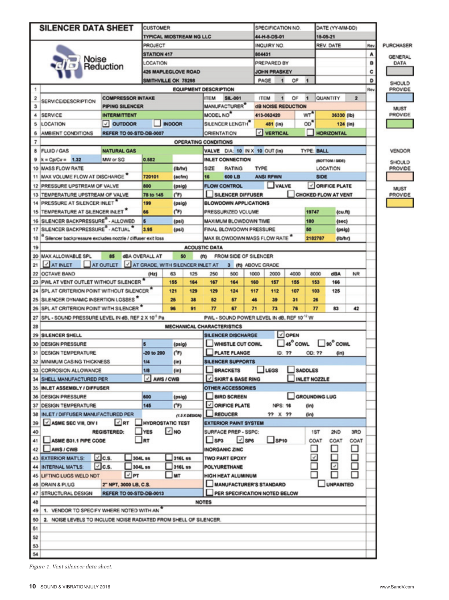| <b>SILENCER DATA SHEET</b>                                                                                              |                                             |                                 | <b>CUSTOMER</b>                                         |                           |                                                    |                                                      |                              |                                           | SPECIFICATION NO  |                            |                          | DATE (YY-MM-DD)          |                        |                        |
|-------------------------------------------------------------------------------------------------------------------------|---------------------------------------------|---------------------------------|---------------------------------------------------------|---------------------------|----------------------------------------------------|------------------------------------------------------|------------------------------|-------------------------------------------|-------------------|----------------------------|--------------------------|--------------------------|------------------------|------------------------|
|                                                                                                                         |                                             | <b>TYPICAL MIDSTREAM NG LLC</b> |                                                         |                           |                                                    |                                                      | 44-H-5-DS-01                 |                                           |                   | 15-05-21                   |                          |                          |                        |                        |
|                                                                                                                         |                                             | PROJECT                         |                                                         |                           |                                                    |                                                      | INQUIRY NO                   |                                           |                   | REV. DATE                  |                          | Rev                      | <b>PURCHASER</b>       |                        |
|                                                                                                                         | <b>STATION 417</b>                          |                                 |                                                         |                           |                                                    |                                                      | 804431                       |                                           |                   |                            |                          | Α                        |                        |                        |
| Noise<br>Reduction                                                                                                      | LOCATION                                    |                                 |                                                         |                           |                                                    |                                                      | PREPARED BY                  |                                           |                   |                            |                          | B                        | <b>GENERAL</b><br>DATA |                        |
|                                                                                                                         |                                             | <b>426 MAPLEGLOVE ROAD</b>      |                                                         |                           |                                                    |                                                      | <b>JOHN PRASKEY</b>          |                                           |                   |                            |                          | c                        |                        |                        |
|                                                                                                                         |                                             |                                 | SMITHVILLE OK 78298                                     |                           |                                                    |                                                      |                              | PAGE<br>1                                 | OF                | 1                          |                          |                          | D                      |                        |
| 1                                                                                                                       |                                             |                                 |                                                         |                           | <b>EQUIPMENT DESCRIPTION</b>                       |                                                      |                              |                                           |                   |                            | Rev                      | SHOULD<br><b>PROVIDE</b> |                        |                        |
|                                                                                                                         | <b>COMPRESSOR INTAKE</b>                    |                                 |                                                         |                           | <b>ITEM</b><br><b>ITEM</b><br>ŌF<br><b>SIL-001</b> |                                                      |                              |                                           |                   | QUANTITY                   | $\overline{2}$           |                          |                        |                        |
| <b>SERVICE/DESCRIPTION</b><br>3                                                                                         | PIPING SILENCER                             |                                 |                                                         | MANUFACTURER <sup>*</sup> |                                                    |                                                      | <b>dB NOISE REDUCTION</b>    |                                           |                   |                            |                          |                          |                        |                        |
|                                                                                                                         | <b>SERVICE</b><br><b>INTERMITTENT</b><br>4  |                                 |                                                         |                           |                                                    | MODEL NO <sup>*</sup>                                |                              |                                           | wr"<br>413-062420 |                            |                          | 36330 (lb)               |                        | <b>MUST</b><br>PROVIDE |
|                                                                                                                         | $\vee$ OUTDOOR<br><b>LOCATION</b><br>5      |                                 |                                                         |                           |                                                    | SILENCER LENGTH                                      |                              | 481 (in)                                  |                   | 0 <sup>7</sup>             |                          | 124 (in)                 |                        |                        |
|                                                                                                                         |                                             | <b>INDOOR</b>                   |                                                         |                           | V VERTICAL                                         |                                                      |                              |                                           |                   |                            |                          |                          |                        |                        |
| AMBIENT CONDITIONS<br><b>REFER TO 00-STD-DB-0007</b><br><b>HORIZONTAL</b><br><b>ORIENTATION</b><br>OPERATING CONDITIONS |                                             |                                 |                                                         |                           |                                                    |                                                      |                              |                                           |                   |                            |                          |                          |                        |                        |
| 7                                                                                                                       |                                             |                                 |                                                         |                           |                                                    |                                                      |                              |                                           |                   |                            |                          |                          |                        |                        |
| 8 FLUID / GAS                                                                                                           | <b>NATURAL GAS</b>                          |                                 |                                                         |                           |                                                    | VALVE DIA: 10 IN X 10 OUT (in)                       |                              |                                           |                   |                            | <b>TYPE: BALL</b>        |                          |                        | VENDOR                 |
| $k = Cp/Cv = 1.32$                                                                                                      | MW or SG                                    |                                 | 0.582                                                   |                           |                                                    | <b>INLET CONNECTION</b>                              |                              |                                           |                   | (BOTTOM/SIDE)              |                          |                          |                        | SHOULD                 |
| 10 MASS FLOW RATE                                                                                                       |                                             |                                 | (lb/hr)                                                 |                           | SIZE                                               | TYPE<br><b>RATING</b>                                |                              |                                           |                   | LOCATION                   |                          |                          |                        | <b>PROVIDE</b>         |
| 11 MAX VOLUME FLOW AT DISCHARGE                                                                                         |                                             |                                 | 720101<br>(acfm)                                        |                           |                                                    | 600 LB<br><b>ANSI RFWN</b><br>16                     |                              |                                           |                   | <b>SIDE</b>                |                          |                          |                        |                        |
| 12 PRESSURE UPSTREAM OF VALVE                                                                                           |                                             | 800                             | (psig)                                                  |                           |                                                    | <b>VALVE</b><br><b>FLOW CONTROL</b>                  |                              |                                           |                   |                            | ORIFICE PLATE            |                          |                        | <b>MUST</b>            |
| TEMPERATURE UPSTREAM OF VALVE<br>13                                                                                     |                                             | 78 to 145<br>(TF)               |                                                         |                           | SILENCER DIFFUSER                                  |                                                      |                              |                                           |                   | <b>CHOKED FLOW AT VENT</b> |                          |                          | <b>PROVIDE</b>         |                        |
| PRESSURE AT SILENCER INLET"                                                                                             |                                             | 199                             | (psig)                                                  |                           |                                                    | <b>BLOWDOWN APPLICATIONS</b>                         |                              |                                           |                   |                            |                          |                          |                        |                        |
| TEMPERATURE AT SILENCER INLET<br>15                                                                                     |                                             | 66                              | $(^{\circ}F)$                                           |                           |                                                    | PRESSURIZED VOLUME                                   |                              |                                           |                   |                            | 19747<br>(cu <b>ft</b> ) |                          |                        |                        |
| SILENCER BACKPRESSURE <sup>8</sup> - ALLOWED                                                                            |                                             |                                 | (psi)                                                   |                           |                                                    |                                                      | MAXIMUM BLOWDOWN TIME        |                                           |                   | 180                        | (sec)                    |                          |                        |                        |
| SILENCER BACKPRESSURE <sup>8</sup> - ACTUAL <sup>*</sup><br>17                                                          |                                             | 3.95                            | (psi)                                                   |                           |                                                    |                                                      | FINAL BLOWDOWN PRESSURE      |                                           |                   | 50                         | (psig)                   |                          |                        |                        |
| Silencer backpressure excludes nozzle / diffuser exit loss<br>18                                                        |                                             |                                 |                                                         |                           |                                                    |                                                      |                              | MAX BLOWDOWN MASS FLOW RATE *             |                   | 2182787                    | (Ib/hr)                  |                          |                        |                        |
| 19                                                                                                                      |                                             |                                 |                                                         |                           | <b>ACOUSTIC DATA</b>                               |                                                      |                              |                                           |                   |                            |                          |                          |                        |                        |
| 20 MAX ALLOWABLE SPL                                                                                                    | 85                                          | <b>dBA OVERALL AT</b>           |                                                         | 50                        | (ft)                                               |                                                      | FROM SIDE OF SILENCER        |                                           |                   |                            |                          |                          |                        |                        |
| AT INLET<br>21                                                                                                          | AT OUTLET JAT GRADE, WITH SILENCER INLET AT |                                 |                                                         |                           |                                                    |                                                      | 3 (ft) ABOVE GRADE           |                                           |                   |                            |                          |                          |                        |                        |
| 22 OCTAVE BAND                                                                                                          |                                             |                                 | 63                                                      | 125                       | 250                                                | 500                                                  | 1000                         | 2000                                      | 4000              | 8000                       | dBA                      | NR                       |                        |                        |
| 23 PWL AT VENT OUTLET WITHOUT SILENCER                                                                                  |                                             | 155                             | 164                                                     | 167                       | 164                                                | 160                                                  | 157                          | 155                                       | 153               | 166                        |                          |                          |                        |                        |
| 24 SPL AT CRITERION POINT WITHOUT SILENCER *                                                                            |                                             | 121                             | 129                                                     | 129                       | 124                                                | 117                                                  | 112                          | 107                                       | 103               | 125                        |                          |                          |                        |                        |
| 25 SILENCER DYNAMIC INSERTION LOSSES"                                                                                   |                                             | 25                              | 38                                                      | 52                        | 57                                                 | 46                                                   | 39                           | 31                                        | 26                |                            |                          |                          |                        |                        |
| 26 SPL AT CRITERION POINT WITH SILENCER                                                                                 |                                             |                                 | 96                                                      | 91                        | 77                                                 | 67                                                   | 71                           | 73                                        | 76                | 77                         | 83                       | 42                       |                        |                        |
| 27 SPL - SOUND PRESSURE LEVEL IN dB, REF 2 X 10° Pa                                                                     |                                             |                                 |                                                         |                           |                                                    |                                                      |                              | PWL - SOUND POWER LEVEL IN dB, REF 1012 W |                   |                            |                          |                          |                        |                        |
|                                                                                                                         |                                             |                                 |                                                         |                           | <b>MECHANICAL CHARACTERISTICS</b>                  |                                                      |                              |                                           |                   |                            |                          |                          |                        |                        |
| 28                                                                                                                      |                                             |                                 |                                                         |                           |                                                    |                                                      |                              |                                           |                   |                            |                          |                          |                        |                        |
| 29 SILENCER SHELL                                                                                                       |                                             |                                 |                                                         |                           |                                                    | $\vee$ OPEN<br><b>SILENCER DISCHARGE</b><br>45° COWL |                              |                                           |                   |                            |                          |                          |                        |                        |
| 30 DESIGN PRESSURE                                                                                                      |                                             |                                 | Б<br>(psig)                                             |                           |                                                    | WHISTLE CUT COWL                                     |                              |                                           |                   |                            | □so° cowu                |                          |                        |                        |
| 31 DESIGN TEMPERATURE                                                                                                   |                                             |                                 | -20 to 200<br>(TF)                                      |                           | <b>PLATE FLANGE</b><br>ID: ??                      |                                                      |                              |                                           |                   | OD: ??<br>(in)             |                          |                          |                        |                        |
| 32 MINIMUM CASING THICKNESS                                                                                             |                                             | 1/4                             | (in)                                                    |                           |                                                    | <b>SILENCER SUPPORTS</b>                             |                              |                                           |                   |                            |                          |                          |                        |                        |
| 33 CORROSION ALLOWANCE                                                                                                  |                                             | 1/8                             | (in)                                                    |                           |                                                    | <b>LEGS</b><br><b>BRACKETS</b>                       |                              |                                           |                   |                            | <b>SADDLES</b>           |                          |                        |                        |
| 34 SHELL MANUFACTURED PER                                                                                               |                                             |                                 | V AWS / CWB<br>SKIRT & BASE RING<br><b>INLET NOZZLE</b> |                           |                                                    |                                                      |                              |                                           |                   |                            |                          |                          |                        |                        |
| 35 INLET ASSEMBLY / DIFFUSER                                                                                            |                                             |                                 |                                                         |                           | <b>OTHER ACCESSORIES</b>                           |                                                      |                              |                                           |                   |                            |                          |                          |                        |                        |
| 36 DESIGN PRESSURE                                                                                                      |                                             | 600                             | (psig)                                                  |                           |                                                    | GROUNDING LUG<br>BIRD SCREEN                         |                              |                                           |                   |                            |                          |                          |                        |                        |
| 37 DESIGN TEMPERATURE                                                                                                   |                                             |                                 | 145<br>(TF)                                             |                           |                                                    | ORIFICE PLATE<br><b>NPS: 16</b>                      |                              |                                           |                   | (in)                       |                          |                          |                        |                        |
| 38 INLET / DIFFUSER MANUFACTURED PER                                                                                    |                                             |                                 |                                                         | (1.5 X DESIGN)            |                                                    | <b>REDUCER</b>                                       |                              | 77 X 77                                   |                   | (in)                       |                          |                          |                        |                        |
| ASME SEC VIII, DIV I<br>39                                                                                              | $\vee$ RT                                   | <b>HYDROSTATIC TEST</b>         |                                                         |                           |                                                    |                                                      | <b>EXTERIOR PAINT SYSTEM</b> |                                           |                   |                            |                          |                          |                        |                        |
| 40                                                                                                                      | <b>REGISTERED:</b>                          | <b>YES</b>                      | $\sqrt{NQ}$                                             |                           |                                                    | SURFACE PREP - SSPC:                                 |                              |                                           |                   | 1ST                        | 2ND                      | 3RD                      |                        |                        |
| ASME B31.1 PIPE CODE<br>41                                                                                              |                                             | RT                              |                                                         |                           |                                                    | $\sqrt{}$ SP6<br>$\Box$ SP10<br>$ $ SP3              |                              |                                           |                   | COAT                       | COAT                     | COAT                     |                        |                        |
| 42   AWS / CWB                                                                                                          |                                             |                                 |                                                         |                           | <b>INORGANIC ZINC</b>                              |                                                      |                              |                                           |                   |                            |                          |                          |                        |                        |
| <b>43 EXTERIOR MATLS:</b>                                                                                               | $\vee$ c.s.                                 |                                 | 304L ss<br>316L ss                                      |                           |                                                    | <b>TWO PART EPOXY</b>                                |                              |                                           |                   | F                          |                          |                          |                        |                        |
| <b>44 INTERNAL MATLS:</b>                                                                                               | $\vee$ c.s.                                 | 304L ss                         |                                                         | 316L ss                   |                                                    | POLYURETHANE                                         |                              |                                           |                   |                            | $\overline{\mathbf{v}}$  | Ξ                        |                        |                        |
| <b>45 LIFTING LUGS WELD NDT</b>                                                                                         | $\sqrt{P}$                                  |                                 | MT                                                      |                           |                                                    | HIGH HEAT ALUMINUM                                   |                              |                                           |                   |                            |                          |                          |                        |                        |
|                                                                                                                         | 46 DRAIN & PLUG<br>2" NPT, 3000 LB, C.S.    |                                 |                                                         |                           |                                                    | MANUFACTURER'S STANDARD<br><b>UNPAINTED</b>          |                              |                                           |                   |                            |                          |                          |                        |                        |
| 47 STRUCTURAL DESIGN                                                                                                    | <b>REFER TO 00-STD-DB-0013</b>              |                                 |                                                         |                           |                                                    |                                                      |                              | PER SPECIFICATION NOTED BELOW             |                   |                            |                          |                          |                        |                        |
|                                                                                                                         |                                             |                                 |                                                         |                           | <b>NOTES</b>                                       |                                                      |                              |                                           |                   |                            |                          |                          |                        |                        |
| 48<br>1. VENDOR TO SPECIFY WHERE NOTED WITH AN<br>49                                                                    |                                             |                                 |                                                         |                           |                                                    |                                                      |                              |                                           |                   |                            |                          |                          |                        |                        |
|                                                                                                                         |                                             |                                 |                                                         |                           |                                                    |                                                      |                              |                                           |                   |                            |                          |                          |                        |                        |
| 50<br>2. NOISE LEVELS TO INCLUDE NOISE RADIATED FROM SHELL OF SILENCER.                                                 |                                             |                                 |                                                         |                           |                                                    |                                                      |                              |                                           |                   |                            |                          |                          |                        |                        |
| 51                                                                                                                      |                                             |                                 |                                                         |                           |                                                    |                                                      |                              |                                           |                   |                            |                          |                          |                        |                        |
| 52                                                                                                                      |                                             |                                 |                                                         |                           |                                                    |                                                      |                              |                                           |                   |                            |                          |                          |                        |                        |
| 53                                                                                                                      |                                             |                                 |                                                         |                           |                                                    |                                                      |                              |                                           |                   |                            |                          |                          |                        |                        |
| 54                                                                                                                      |                                             |                                 |                                                         |                           |                                                    |                                                      |                              |                                           |                   |                            |                          |                          |                        |                        |

*Figure 1. Vent silencer data sheet.*